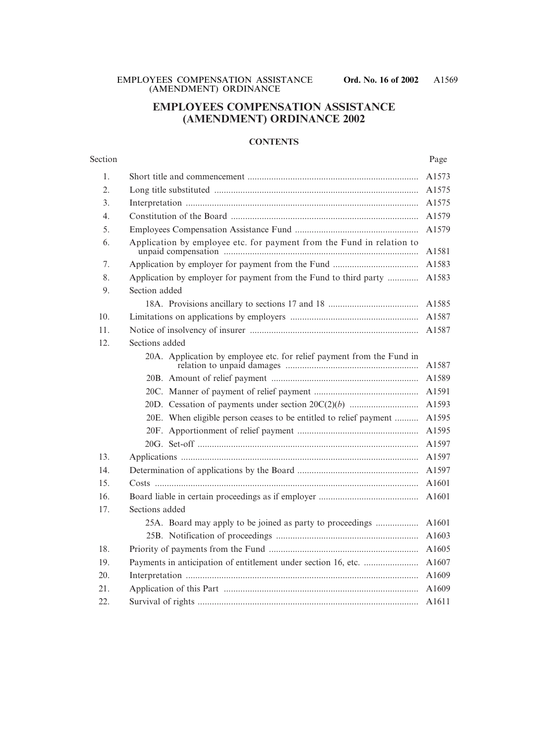## **EMPLOYEES COMPENSATION ASSISTANCE (AMENDMENT) ORDINANCE 2002**

#### **CONTENTS**

#### Section Page

| 1.  |                                                                                |       |  |  |  |
|-----|--------------------------------------------------------------------------------|-------|--|--|--|
| 2.  |                                                                                |       |  |  |  |
| 3.  | A1575                                                                          |       |  |  |  |
| 4.  |                                                                                |       |  |  |  |
| 5.  | A1579                                                                          |       |  |  |  |
| 6.  | Application by employee etc. for payment from the Fund in relation to<br>A1581 |       |  |  |  |
| 7.  | A1583                                                                          |       |  |  |  |
| 8.  | Application by employer for payment from the Fund to third party<br>A1583      |       |  |  |  |
| 9.  | Section added                                                                  |       |  |  |  |
|     |                                                                                | A1585 |  |  |  |
| 10. |                                                                                | A1587 |  |  |  |
| 11. |                                                                                | A1587 |  |  |  |
| 12. | Sections added                                                                 |       |  |  |  |
|     | 20A. Application by employee etc. for relief payment from the Fund in          | A1587 |  |  |  |
|     |                                                                                | A1589 |  |  |  |
|     |                                                                                | A1591 |  |  |  |
|     |                                                                                | A1593 |  |  |  |
|     | 20E. When eligible person ceases to be entitled to relief payment              | A1595 |  |  |  |
|     |                                                                                | A1595 |  |  |  |
|     |                                                                                | A1597 |  |  |  |
| 13. |                                                                                | A1597 |  |  |  |
| 14. |                                                                                | A1597 |  |  |  |
| 15. |                                                                                | A1601 |  |  |  |
| 16. |                                                                                | A1601 |  |  |  |
| 17. | Sections added                                                                 |       |  |  |  |
|     | 25A. Board may apply to be joined as party to proceedings                      | A1601 |  |  |  |
|     |                                                                                | A1603 |  |  |  |
| 18. |                                                                                | A1605 |  |  |  |
| 19. | Payments in anticipation of entitlement under section 16, etc.                 | A1607 |  |  |  |
| 20. | A1609                                                                          |       |  |  |  |
| 21. |                                                                                | A1609 |  |  |  |
| 22. |                                                                                | A1611 |  |  |  |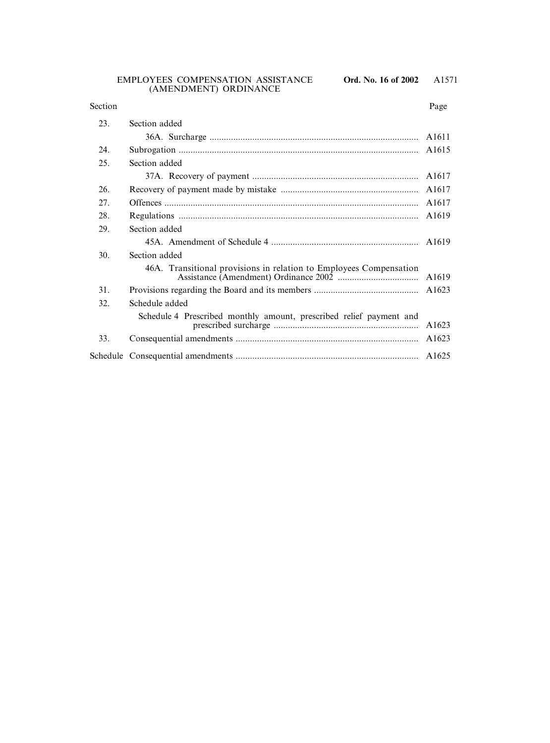#### EMPLOYEES COMPENSATION ASSISTANCE **Ord. No. 16 of 2002** (AMENDMENT) ORDINANCE

#### Section Page

| 23. | Section added                                                       |                   |  |  |
|-----|---------------------------------------------------------------------|-------------------|--|--|
|     |                                                                     | A <sub>1611</sub> |  |  |
| 24. |                                                                     |                   |  |  |
| 25. | Section added                                                       |                   |  |  |
|     |                                                                     | A1617             |  |  |
| 26. |                                                                     | A1617             |  |  |
| 27. | A1617                                                               |                   |  |  |
| 28. |                                                                     |                   |  |  |
| 29. | Section added                                                       |                   |  |  |
|     |                                                                     |                   |  |  |
| 30. | Section added                                                       |                   |  |  |
|     | 46A. Transitional provisions in relation to Employees Compensation  | A <sub>1619</sub> |  |  |
| 31. |                                                                     |                   |  |  |
| 32. | Schedule added                                                      |                   |  |  |
|     | Schedule 4 Prescribed monthly amount, prescribed relief payment and | A1623             |  |  |
| 33. |                                                                     |                   |  |  |
|     |                                                                     |                   |  |  |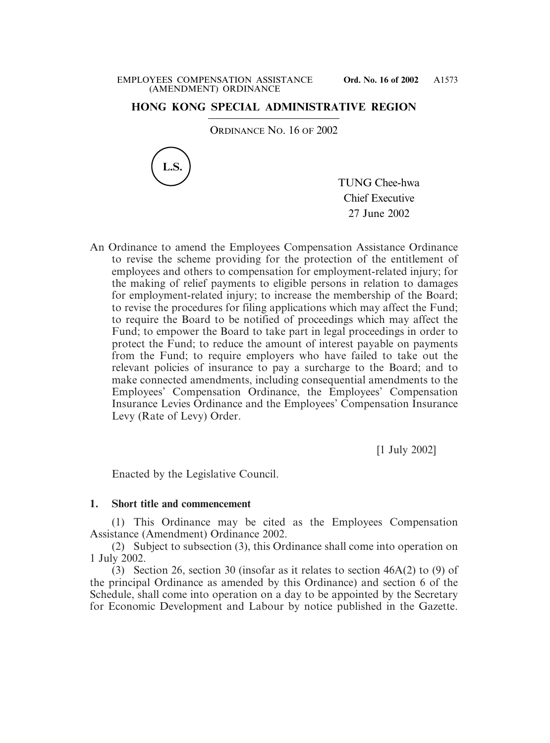## **HONG KONG SPECIAL ADMINISTRATIVE REGION**

ORDINANCE NO. 16 OF 2002



TUNG Chee-hwa Chief Executive 27 June 2002

An Ordinance to amend the Employees Compensation Assistance Ordinance to revise the scheme providing for the protection of the entitlement of employees and others to compensation for employment-related injury; for the making of relief payments to eligible persons in relation to damages for employment-related injury; to increase the membership of the Board; to revise the procedures for filing applications which may affect the Fund; to require the Board to be notified of proceedings which may affect the Fund; to empower the Board to take part in legal proceedings in order to protect the Fund; to reduce the amount of interest payable on payments from the Fund; to require employers who have failed to take out the relevant policies of insurance to pay a surcharge to the Board; and to make connected amendments, including consequential amendments to the Employees' Compensation Ordinance, the Employees' Compensation Insurance Levies Ordinance and the Employees' Compensation Insurance Levy (Rate of Levy) Order.

[1 July 2002]

Enacted by the Legislative Council.

## **1. Short title and commencement**

(1) This Ordinance may be cited as the Employees Compensation Assistance (Amendment) Ordinance 2002.

(2) Subject to subsection (3), this Ordinance shall come into operation on 1 July 2002.

(3) Section 26, section 30 (insofar as it relates to section 46A(2) to (9) of the principal Ordinance as amended by this Ordinance) and section 6 of the Schedule, shall come into operation on a day to be appointed by the Secretary for Economic Development and Labour by notice published in the Gazette.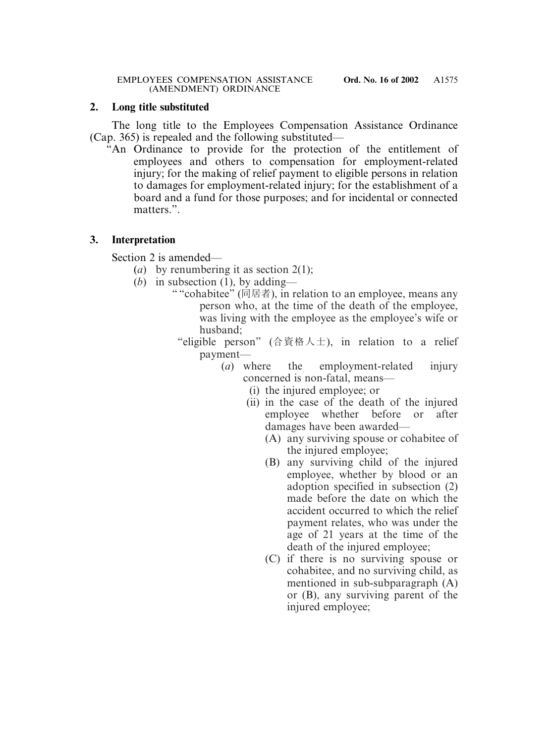### **2. Long title substituted**

The long title to the Employees Compensation Assistance Ordinance (Cap. 365) is repealed and the following substituted—

"An Ordinance to provide for the protection of the entitlement of employees and others to compensation for employment-related injury; for the making of relief payment to eligible persons in relation to damages for employment-related injury; for the establishment of a board and a fund for those purposes; and for incidental or connected matters.".

## **3. Interpretation**

Section 2 is amended—

- (*a*) by renumbering it as section 2(1);
- (*b*) in subsection (1), by adding—
	- " "cohabitee" (同居者), in relation to an employee, means any person who, at the time of the death of the employee, was living with the employee as the employee's wife or husband;
		- "eligible person" (合資格人士), in relation to a relief payment—
			- (*a*) where the employment-related injury concerned is non-fatal, means—
				- (i) the injured employee; or
				- (ii) in the case of the death of the injured employee whether before or after damages have been awarded—
					- (A) any surviving spouse or cohabitee of the injured employee;
					- (B) any surviving child of the injured employee, whether by blood or an adoption specified in subsection (2) made before the date on which the accident occurred to which the relief payment relates, who was under the age of 21 years at the time of the death of the injured employee;
					- (C) if there is no surviving spouse or cohabitee, and no surviving child, as mentioned in sub-subparagraph (A) or (B), any surviving parent of the injured employee;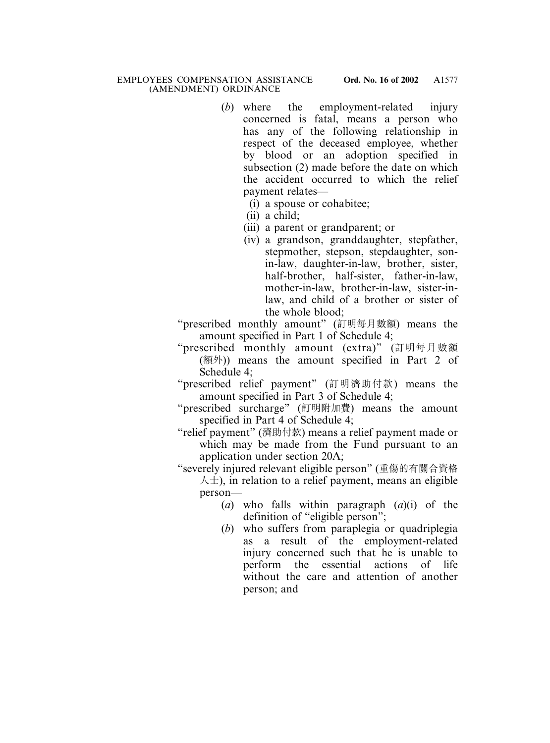- (*b*) where the employment-related injury concerned is fatal, means a person who has any of the following relationship in respect of the deceased employee, whether by blood or an adoption specified in subsection (2) made before the date on which the accident occurred to which the relief payment relates—
	- (i) a spouse or cohabitee;
	- (ii) a child;
	- (iii) a parent or grandparent; or
		- (iv) a grandson, granddaughter, stepfather, stepmother, stepson, stepdaughter, sonin-law, daughter-in-law, brother, sister, half-brother, half-sister, father-in-law, mother-in-law, brother-in-law, sister-inlaw, and child of a brother or sister of the whole blood;

"prescribed monthly amount" (訂明每月數額) means the amount specified in Part 1 of Schedule 4;

- "prescribed monthly amount (extra)" (訂明每月數額 (額外)) means the amount specified in Part 2 of Schedule 4;
- "prescribed relief payment" (訂明濟助付款) means the amount specified in Part 3 of Schedule 4;
- "prescribed surcharge" (訂明附加費) means the amount specified in Part 4 of Schedule 4;
- "relief payment" (濟助付款) means a relief payment made or which may be made from the Fund pursuant to an application under section 20A;

"severely injured relevant eligible person" (重傷的有關合資格  $\lambda \pm$ ), in relation to a relief payment, means an eligible person—

- (*a*) who falls within paragraph (*a*)(i) of the definition of "eligible person";
- (*b*) who suffers from paraplegia or quadriplegia as a result of the employment-related injury concerned such that he is unable to perform the essential actions of life without the care and attention of another person; and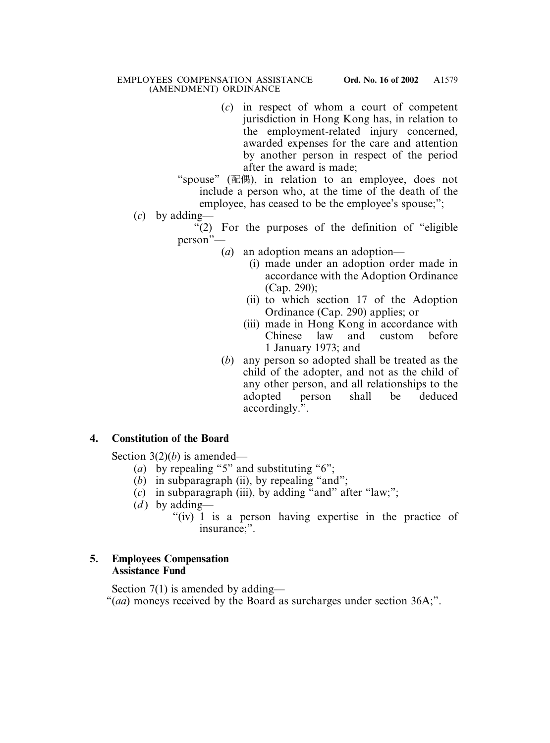(*c*) in respect of whom a court of competent jurisdiction in Hong Kong has, in relation to the employment-related injury concerned, awarded expenses for the care and attention by another person in respect of the period after the award is made;

"spouse" (配偶), in relation to an employee, does not include a person who, at the time of the death of the employee, has ceased to be the employee's spouse;";

```
(c) by adding—
```
"(2) For the purposes of the definition of "eligible person"—

- (*a*) an adoption means an adoption—
	- (i) made under an adoption order made in accordance with the Adoption Ordinance (Cap. 290);
	- (ii) to which section 17 of the Adoption Ordinance (Cap. 290) applies; or
	- (iii) made in Hong Kong in accordance with Chinese law and custom before 1 January 1973; and
- (*b*) any person so adopted shall be treated as the child of the adopter, and not as the child of any other person, and all relationships to the adopted person shall be deduced accordingly.".

# **4. Constitution of the Board**

Section 3(2)(*b*) is amended—

- (*a*) by repealing "5" and substituting "6";
- (*b*) in subparagraph (ii), by repealing "and";
- (*c*) in subparagraph (iii), by adding "and" after "law;";
- $(d)$  by adding—
	- "(iv) 1 is a person having expertise in the practice of insurance;".

# **5. Employees Compensation Assistance Fund**

Section 7(1) is amended by adding—

"(*aa*) moneys received by the Board as surcharges under section 36A;".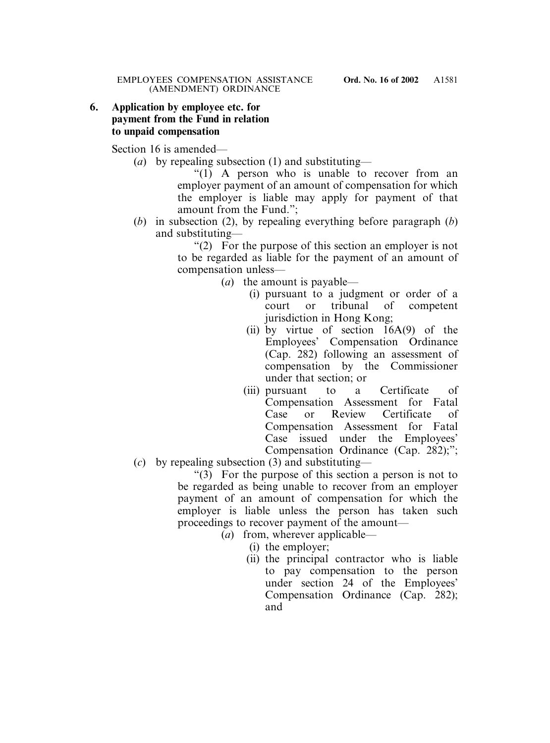## **6. Application by employee etc. for payment from the Fund in relation to unpaid compensation**

Section 16 is amended—

(*a*) by repealing subsection (1) and substituting—

"(1) A person who is unable to recover from an employer payment of an amount of compensation for which the employer is liable may apply for payment of that amount from the Fund.";

(*b*) in subsection (2), by repealing everything before paragraph (*b*) and substituting—

> "(2) For the purpose of this section an employer is not to be regarded as liable for the payment of an amount of compensation unless—

- (*a*) the amount is payable—
	- (i) pursuant to a judgment or order of a court or tribunal of competent jurisdiction in Hong Kong;
	- (ii) by virtue of section  $16A(9)$  of the Employees' Compensation Ordinance (Cap. 282) following an assessment of compensation by the Commissioner under that section; or
	- (iii) pursuant to a Certificate of Compensation Assessment for Fatal Case or Review Certificate of Compensation Assessment for Fatal Case issued under the Employees' Compensation Ordinance (Cap. 282);";
- (*c*) by repealing subsection (3) and substituting—

 $(3)$  For the purpose of this section a person is not to be regarded as being unable to recover from an employer payment of an amount of compensation for which the employer is liable unless the person has taken such proceedings to recover payment of the amount—

- (*a*) from, wherever applicable—
	- (i) the employer;
	- (ii) the principal contractor who is liable to pay compensation to the person under section 24 of the Employees' Compensation Ordinance (Cap. 282); and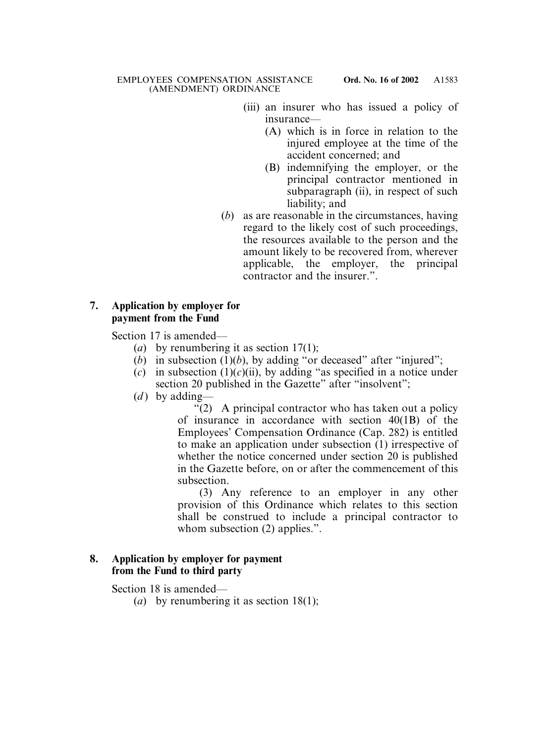- (iii) an insurer who has issued a policy of insurance—
	- (A) which is in force in relation to the injured employee at the time of the accident concerned; and
	- (B) indemnifying the employer, or the principal contractor mentioned in subparagraph (ii), in respect of such liability; and
- (*b*) as are reasonable in the circumstances, having regard to the likely cost of such proceedings, the resources available to the person and the amount likely to be recovered from, wherever applicable, the employer, the principal contractor and the insurer."

## **7. Application by employer for payment from the Fund**

Section 17 is amended—

- (*a*) by renumbering it as section 17(1);
- (*b*) in subsection  $(1)(b)$ , by adding "or deceased" after "injured";
- (*c*) in subsection  $(1)(c)(ii)$ , by adding "as specified in a notice under section 20 published in the Gazette" after "insolvent";
- (*d*) by adding—

"(2) A principal contractor who has taken out a policy of insurance in accordance with section 40(1B) of the Employees' Compensation Ordinance (Cap. 282) is entitled to make an application under subsection (1) irrespective of whether the notice concerned under section 20 is published in the Gazette before, on or after the commencement of this subsection.

(3) Any reference to an employer in any other provision of this Ordinance which relates to this section shall be construed to include a principal contractor to whom subsection (2) applies.".

# **8. Application by employer for payment from the Fund to third party**

Section 18 is amended—

(*a*) by renumbering it as section 18(1);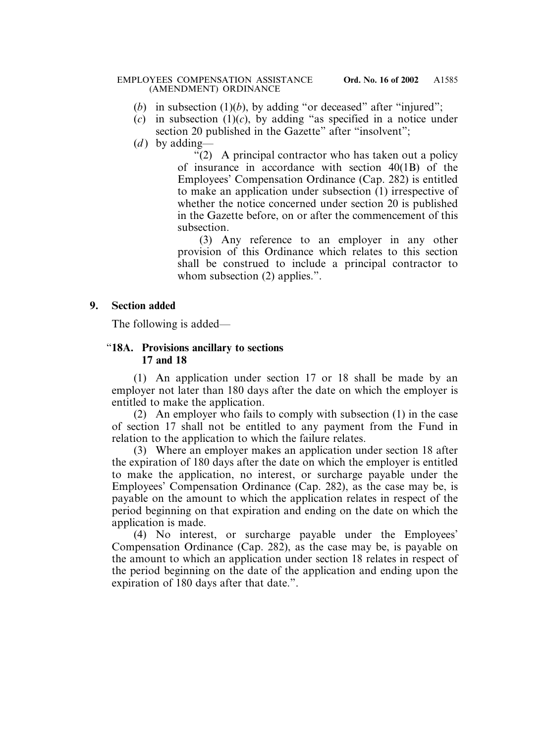#### EMPLOYEES COMPENSATION ASSISTANCE **Ord. No. 16 of 2002** (AMENDMENT) ORDINANCE

- (*b*) in subsection  $(1)(b)$ , by adding "or deceased" after "injured";
- $(c)$  in subsection  $(1)(c)$ , by adding "as specified in a notice under section 20 published in the Gazette" after "insolvent";
- $(d)$  by adding—

"(2) A principal contractor who has taken out a policy of insurance in accordance with section 40(1B) of the Employees' Compensation Ordinance (Cap. 282) is entitled to make an application under subsection (1) irrespective of whether the notice concerned under section 20 is published in the Gazette before, on or after the commencement of this subsection.

(3) Any reference to an employer in any other provision of this Ordinance which relates to this section shall be construed to include a principal contractor to whom subsection (2) applies.".

### **9. Section added**

The following is added—

### "**18A. Provisions ancillary to sections 17 and 18**

(1) An application under section 17 or 18 shall be made by an employer not later than 180 days after the date on which the employer is entitled to make the application.

(2) An employer who fails to comply with subsection (1) in the case of section 17 shall not be entitled to any payment from the Fund in relation to the application to which the failure relates.

(3) Where an employer makes an application under section 18 after the expiration of 180 days after the date on which the employer is entitled to make the application, no interest, or surcharge payable under the Employees' Compensation Ordinance (Cap. 282), as the case may be, is payable on the amount to which the application relates in respect of the period beginning on that expiration and ending on the date on which the application is made.

(4) No interest, or surcharge payable under the Employees' Compensation Ordinance (Cap. 282), as the case may be, is payable on the amount to which an application under section 18 relates in respect of the period beginning on the date of the application and ending upon the expiration of 180 days after that date.".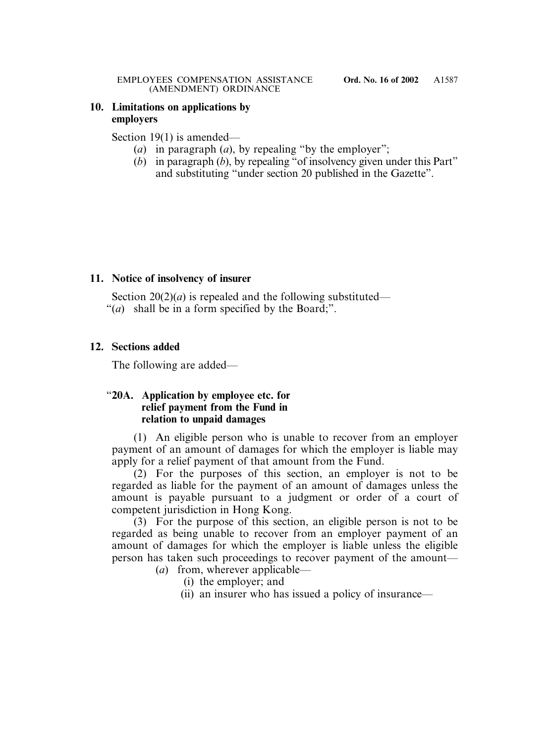## **10. Limitations on applications by employers**

### Section 19(1) is amended—

- (*a*) in paragraph (*a*), by repealing "by the employer";
- (*b*) in paragraph (*b*), by repealing "of insolvency given under this Part" and substituting "under section 20 published in the Gazette".

## **11. Notice of insolvency of insurer**

Section  $20(2)(a)$  is repealed and the following substituted—

"(*a*) shall be in a form specified by the Board;".

## **12. Sections added**

The following are added—

## "**20A. Application by employee etc. for relief payment from the Fund in relation to unpaid damages**

(1) An eligible person who is unable to recover from an employer payment of an amount of damages for which the employer is liable may apply for a relief payment of that amount from the Fund.

(2) For the purposes of this section, an employer is not to be regarded as liable for the payment of an amount of damages unless the amount is payable pursuant to a judgment or order of a court of competent jurisdiction in Hong Kong.

(3) For the purpose of this section, an eligible person is not to be regarded as being unable to recover from an employer payment of an amount of damages for which the employer is liable unless the eligible person has taken such proceedings to recover payment of the amount—

- (*a*) from, wherever applicable—
	- (i) the employer; and
	- (ii) an insurer who has issued a policy of insurance—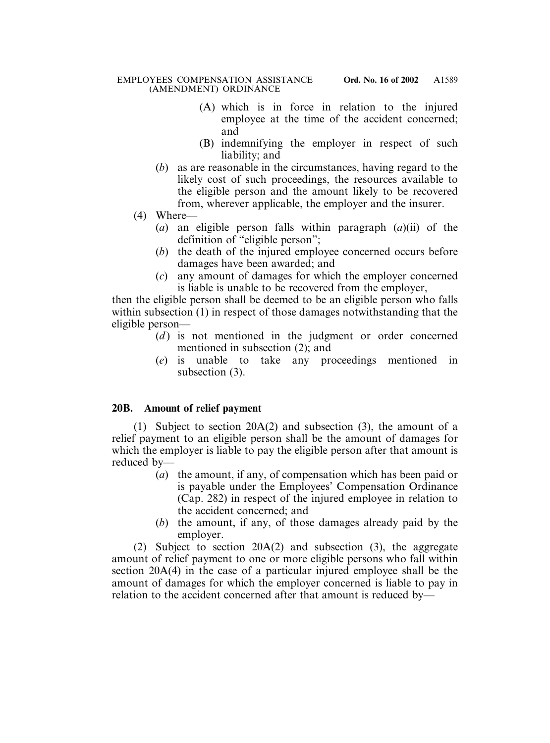- (A) which is in force in relation to the injured employee at the time of the accident concerned; and
- (B) indemnifying the employer in respect of such liability; and
- (*b*) as are reasonable in the circumstances, having regard to the likely cost of such proceedings, the resources available to the eligible person and the amount likely to be recovered from, wherever applicable, the employer and the insurer.
- (4) Where—
	- (*a*) an eligible person falls within paragraph (*a*)(ii) of the definition of "eligible person";
	- (*b*) the death of the injured employee concerned occurs before damages have been awarded; and
	- (*c*) any amount of damages for which the employer concerned is liable is unable to be recovered from the employer,

then the eligible person shall be deemed to be an eligible person who falls within subsection (1) in respect of those damages notwithstanding that the eligible person—

- (*d*) is not mentioned in the judgment or order concerned mentioned in subsection (2); and
- (*e*) is unable to take any proceedings mentioned in subsection (3).

# **20B. Amount of relief payment**

(1) Subject to section 20A(2) and subsection (3), the amount of a relief payment to an eligible person shall be the amount of damages for which the employer is liable to pay the eligible person after that amount is reduced by—

- (*a*) the amount, if any, of compensation which has been paid or is payable under the Employees' Compensation Ordinance (Cap. 282) in respect of the injured employee in relation to the accident concerned; and
- (*b*) the amount, if any, of those damages already paid by the employer.

(2) Subject to section 20A(2) and subsection (3), the aggregate amount of relief payment to one or more eligible persons who fall within section 20A(4) in the case of a particular injured employee shall be the amount of damages for which the employer concerned is liable to pay in relation to the accident concerned after that amount is reduced by—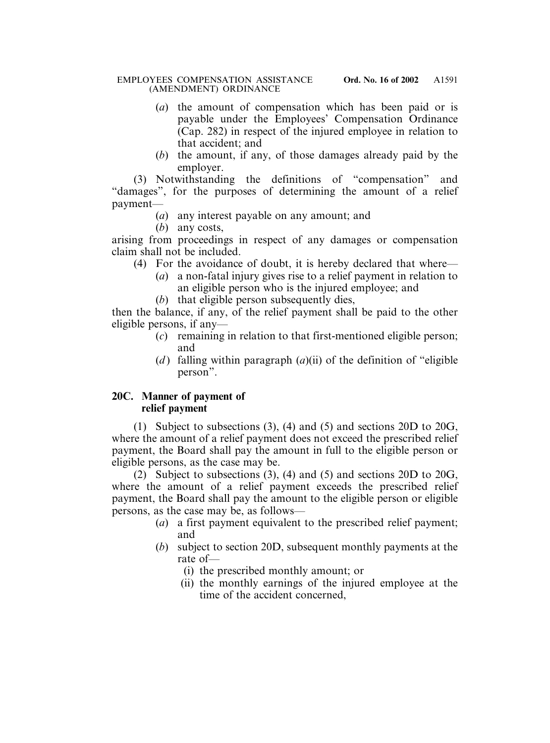#### EMPLOYEES COMPENSATION ASSISTANCE **Ord. No. 16 of 2002** (AMENDMENT) ORDINANCE

- (*a*) the amount of compensation which has been paid or is payable under the Employees' Compensation Ordinance (Cap. 282) in respect of the injured employee in relation to that accident; and
- (*b*) the amount, if any, of those damages already paid by the employer.

(3) Notwithstanding the definitions of "compensation" and "damages", for the purposes of determining the amount of a relief payment—

- (*a*) any interest payable on any amount; and
- (*b*) any costs,

arising from proceedings in respect of any damages or compensation claim shall not be included.

- (4) For the avoidance of doubt, it is hereby declared that where—
	- (*a*) a non-fatal injury gives rise to a relief payment in relation to an eligible person who is the injured employee; and
	- (*b*) that eligible person subsequently dies,

then the balance, if any, of the relief payment shall be paid to the other eligible persons, if any—

- (*c*) remaining in relation to that first-mentioned eligible person; and
- (*d*) falling within paragraph  $(a)(ii)$  of the definition of "eligible" person".

# **20C. Manner of payment of relief payment**

(1) Subject to subsections (3), (4) and (5) and sections 20D to 20G, where the amount of a relief payment does not exceed the prescribed relief payment, the Board shall pay the amount in full to the eligible person or eligible persons, as the case may be.

(2) Subject to subsections (3), (4) and (5) and sections 20D to 20G, where the amount of a relief payment exceeds the prescribed relief payment, the Board shall pay the amount to the eligible person or eligible persons, as the case may be, as follows—

- (*a*) a first payment equivalent to the prescribed relief payment; and
- (*b*) subject to section 20D, subsequent monthly payments at the rate of—
	- (i) the prescribed monthly amount; or
	- (ii) the monthly earnings of the injured employee at the time of the accident concerned,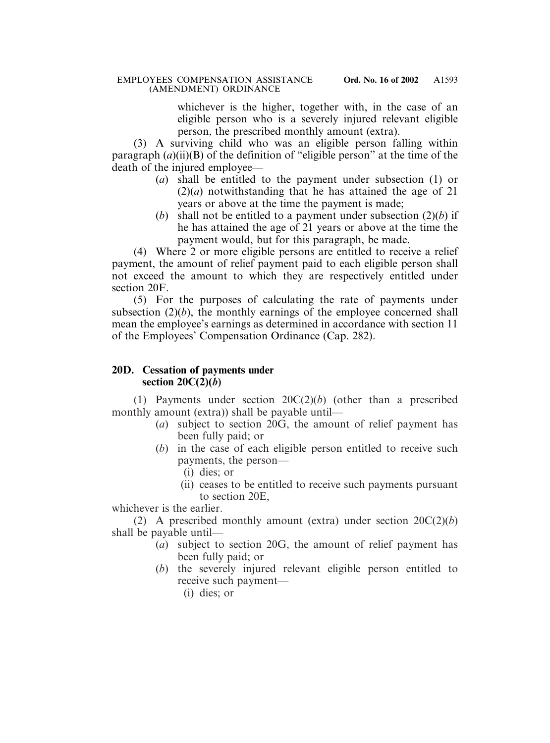whichever is the higher, together with, in the case of an eligible person who is a severely injured relevant eligible person, the prescribed monthly amount (extra).

(3) A surviving child who was an eligible person falling within paragraph (*a*)(ii)(B) of the definition of "eligible person" at the time of the death of the injured employee—

- (*a*) shall be entitled to the payment under subsection (1) or  $(2)(a)$  notwithstanding that he has attained the age of 21 years or above at the time the payment is made;
- (*b*) shall not be entitled to a payment under subsection (2)(*b*) if he has attained the age of 21 years or above at the time the payment would, but for this paragraph, be made.

(4) Where 2 or more eligible persons are entitled to receive a relief payment, the amount of relief payment paid to each eligible person shall not exceed the amount to which they are respectively entitled under section 20F.

(5) For the purposes of calculating the rate of payments under subsection  $(2)(b)$ , the monthly earnings of the employee concerned shall mean the employee's earnings as determined in accordance with section 11 of the Employees' Compensation Ordinance (Cap. 282).

## **20D. Cessation of payments under section 20C(2)(***b***)**

(1) Payments under section 20C(2)(*b*) (other than a prescribed monthly amount (extra)) shall be payable until—

- (*a*) subject to section 20G, the amount of relief payment has been fully paid; or
- (*b*) in the case of each eligible person entitled to receive such payments, the person—
	- (i) dies; or
	- (ii) ceases to be entitled to receive such payments pursuant to section 20E,

whichever is the earlier.

(2) A prescribed monthly amount (extra) under section 20C(2)(*b*) shall be payable until—

- (*a*) subject to section 20G, the amount of relief payment has been fully paid; or
- (*b*) the severely injured relevant eligible person entitled to receive such payment—
	- (i) dies; or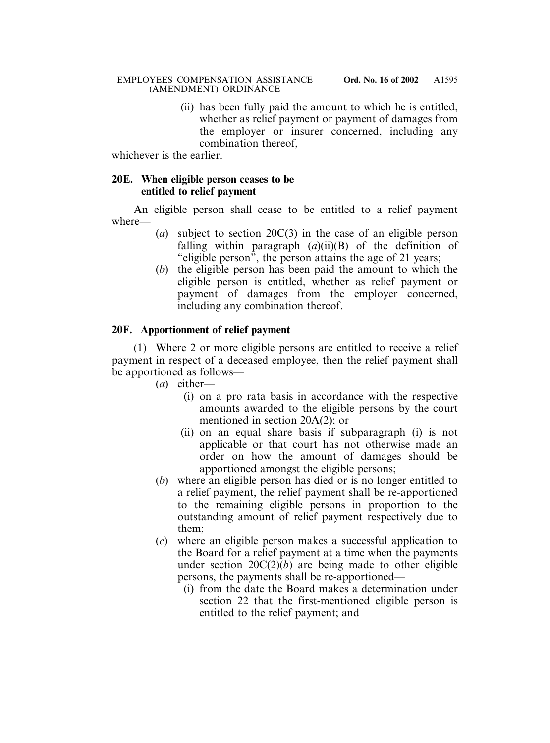(ii) has been fully paid the amount to which he is entitled, whether as relief payment or payment of damages from the employer or insurer concerned, including any combination thereof,

whichever is the earlier.

## **20E. When eligible person ceases to be entitled to relief payment**

An eligible person shall cease to be entitled to a relief payment where—

- (*a*) subject to section 20C(3) in the case of an eligible person falling within paragraph (*a*)(ii)(B) of the definition of "eligible person", the person attains the age of 21 years;
- (*b*) the eligible person has been paid the amount to which the eligible person is entitled, whether as relief payment or payment of damages from the employer concerned, including any combination thereof.

# **20F. Apportionment of relief payment**

(1) Where 2 or more eligible persons are entitled to receive a relief payment in respect of a deceased employee, then the relief payment shall be apportioned as follows—

- (*a*) either—
	- (i) on a pro rata basis in accordance with the respective amounts awarded to the eligible persons by the court mentioned in section 20A(2); or
	- (ii) on an equal share basis if subparagraph (i) is not applicable or that court has not otherwise made an order on how the amount of damages should be apportioned amongst the eligible persons;
- (*b*) where an eligible person has died or is no longer entitled to a relief payment, the relief payment shall be re-apportioned to the remaining eligible persons in proportion to the outstanding amount of relief payment respectively due to them;
- (*c*) where an eligible person makes a successful application to the Board for a relief payment at a time when the payments under section  $20C(2)(b)$  are being made to other eligible persons, the payments shall be re-apportioned—
	- (i) from the date the Board makes a determination under section 22 that the first-mentioned eligible person is entitled to the relief payment; and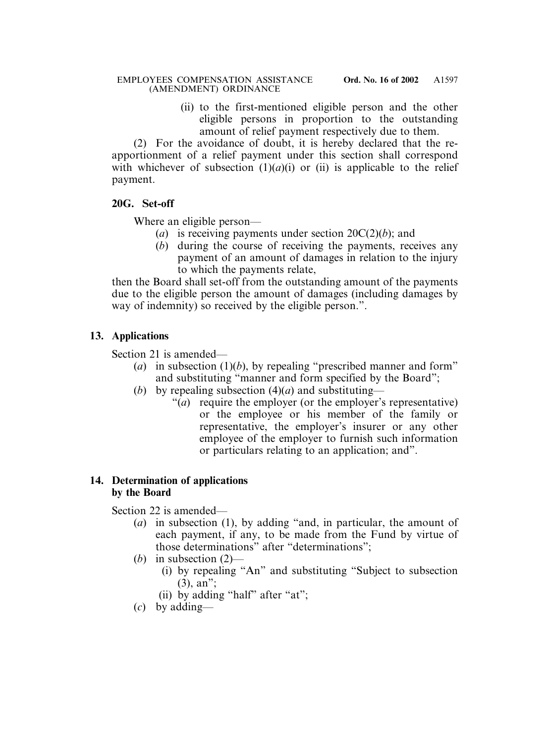(ii) to the first-mentioned eligible person and the other eligible persons in proportion to the outstanding amount of relief payment respectively due to them.

(2) For the avoidance of doubt, it is hereby declared that the reapportionment of a relief payment under this section shall correspond with whichever of subsection  $(1)(a)(i)$  or  $(ii)$  is applicable to the relief payment.

## **20G. Set-off**

Where an eligible person—

- (*a*) is receiving payments under section 20C(2)(*b*); and
- (*b*) during the course of receiving the payments, receives any payment of an amount of damages in relation to the injury to which the payments relate,

then the Board shall set-off from the outstanding amount of the payments due to the eligible person the amount of damages (including damages by way of indemnity) so received by the eligible person.".

## **13. Applications**

Section 21 is amended—

- (*a*) in subsection (1)(*b*), by repealing "prescribed manner and form" and substituting "manner and form specified by the Board";
- (*b*) by repealing subsection  $(4)(a)$  and substituting—
	- "(*a*) require the employer (or the employer's representative) or the employee or his member of the family or representative, the employer's insurer or any other employee of the employer to furnish such information or particulars relating to an application; and".

## **14. Determination of applications by the Board**

Section 22 is amended—

- (*a*) in subsection (1), by adding "and, in particular, the amount of each payment, if any, to be made from the Fund by virtue of those determinations" after "determinations";
- (*b*) in subsection (2)—
	- (i) by repealing "An" and substituting "Subject to subsection (3), an";
	- (ii) by adding "half" after "at";
- (*c*) by adding—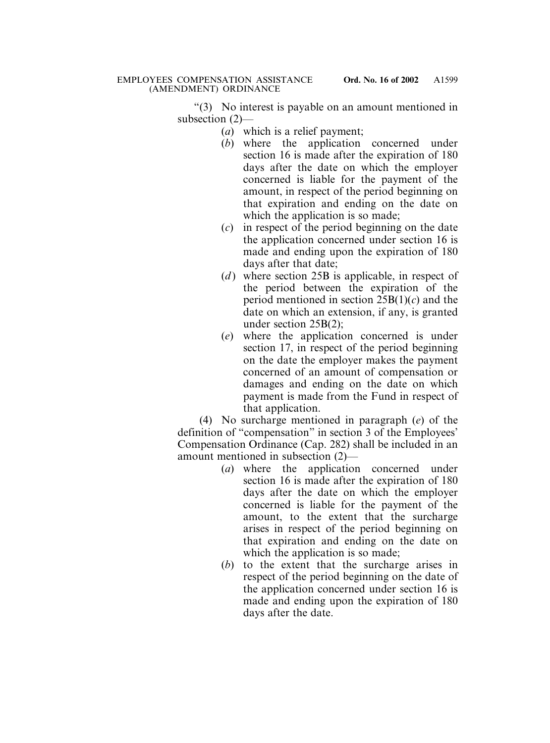"(3) No interest is payable on an amount mentioned in subsection (2)—

- (*a*) which is a relief payment;
- (*b*) where the application concerned under section 16 is made after the expiration of 180 days after the date on which the employer concerned is liable for the payment of the amount, in respect of the period beginning on that expiration and ending on the date on which the application is so made;
- (*c*) in respect of the period beginning on the date the application concerned under section 16 is made and ending upon the expiration of 180 days after that date;
- (*d*) where section 25B is applicable, in respect of the period between the expiration of the period mentioned in section 25B(1)(*c*) and the date on which an extension, if any, is granted under section 25B(2);
- (*e*) where the application concerned is under section 17, in respect of the period beginning on the date the employer makes the payment concerned of an amount of compensation or damages and ending on the date on which payment is made from the Fund in respect of that application.

(4) No surcharge mentioned in paragraph (*e*) of the definition of "compensation" in section 3 of the Employees' Compensation Ordinance (Cap. 282) shall be included in an amount mentioned in subsection (2)—

- (*a*) where the application concerned under section 16 is made after the expiration of 180 days after the date on which the employer concerned is liable for the payment of the amount, to the extent that the surcharge arises in respect of the period beginning on that expiration and ending on the date on which the application is so made;
- (*b*) to the extent that the surcharge arises in respect of the period beginning on the date of the application concerned under section 16 is made and ending upon the expiration of 180 days after the date.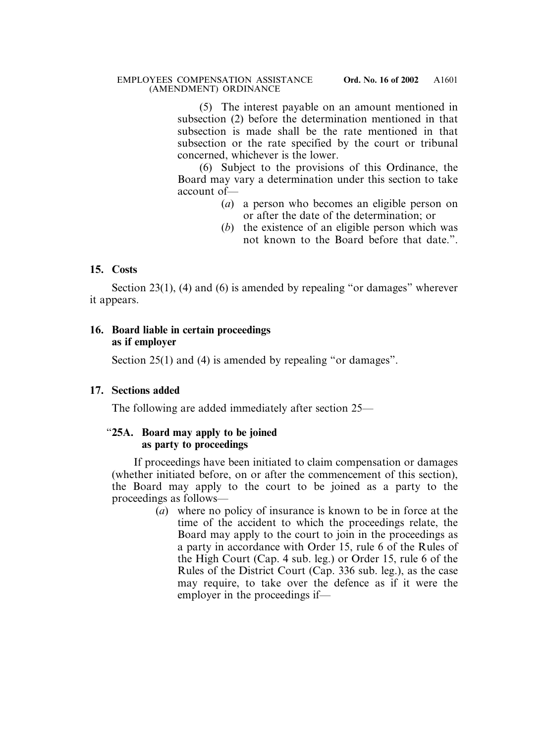(5) The interest payable on an amount mentioned in subsection (2) before the determination mentioned in that subsection is made shall be the rate mentioned in that subsection or the rate specified by the court or tribunal concerned, whichever is the lower.

(6) Subject to the provisions of this Ordinance, the Board may vary a determination under this section to take account of—

- (*a*) a person who becomes an eligible person on or after the date of the determination; or
- (*b*) the existence of an eligible person which was not known to the Board before that date.".

## **15. Costs**

Section 23(1), (4) and (6) is amended by repealing "or damages" wherever it appears.

## **16. Board liable in certain proceedings as if employer**

Section 25(1) and (4) is amended by repealing "or damages".

## **17. Sections added**

The following are added immediately after section 25—

## "**25A. Board may apply to be joined as party to proceedings**

If proceedings have been initiated to claim compensation or damages (whether initiated before, on or after the commencement of this section), the Board may apply to the court to be joined as a party to the proceedings as follows—

> (*a*) where no policy of insurance is known to be in force at the time of the accident to which the proceedings relate, the Board may apply to the court to join in the proceedings as a party in accordance with Order 15, rule 6 of the Rules of the High Court (Cap. 4 sub. leg.) or Order 15, rule 6 of the Rules of the District Court (Cap. 336 sub. leg.), as the case may require, to take over the defence as if it were the employer in the proceedings if—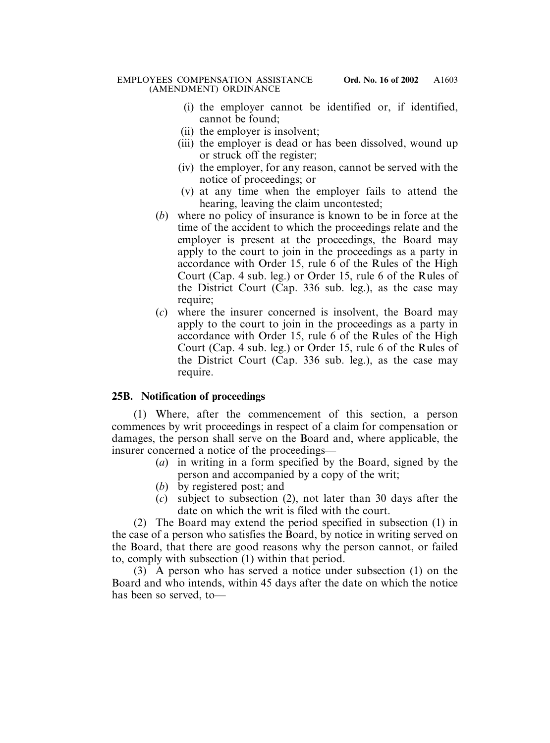- (i) the employer cannot be identified or, if identified, cannot be found;
- (ii) the employer is insolvent;
- (iii) the employer is dead or has been dissolved, wound up or struck off the register;
- (iv) the employer, for any reason, cannot be served with the notice of proceedings; or
- (v) at any time when the employer fails to attend the hearing, leaving the claim uncontested;
- (*b*) where no policy of insurance is known to be in force at the time of the accident to which the proceedings relate and the employer is present at the proceedings, the Board may apply to the court to join in the proceedings as a party in accordance with Order 15, rule 6 of the Rules of the High Court (Cap. 4 sub. leg.) or Order 15, rule 6 of the Rules of the District Court (Cap. 336 sub. leg.), as the case may require;
- (*c*) where the insurer concerned is insolvent, the Board may apply to the court to join in the proceedings as a party in accordance with Order 15, rule 6 of the Rules of the High Court (Cap. 4 sub. leg.) or Order 15, rule 6 of the Rules of the District Court (Cap. 336 sub. leg.), as the case may require.

## **25B. Notification of proceedings**

(1) Where, after the commencement of this section, a person commences by writ proceedings in respect of a claim for compensation or damages, the person shall serve on the Board and, where applicable, the insurer concerned a notice of the proceedings—

- (*a*) in writing in a form specified by the Board, signed by the person and accompanied by a copy of the writ;
- (*b*) by registered post; and
- (*c*) subject to subsection (2), not later than 30 days after the date on which the writ is filed with the court.

(2) The Board may extend the period specified in subsection (1) in the case of a person who satisfies the Board, by notice in writing served on the Board, that there are good reasons why the person cannot, or failed to, comply with subsection (1) within that period.

(3) A person who has served a notice under subsection (1) on the Board and who intends, within 45 days after the date on which the notice has been so served, to—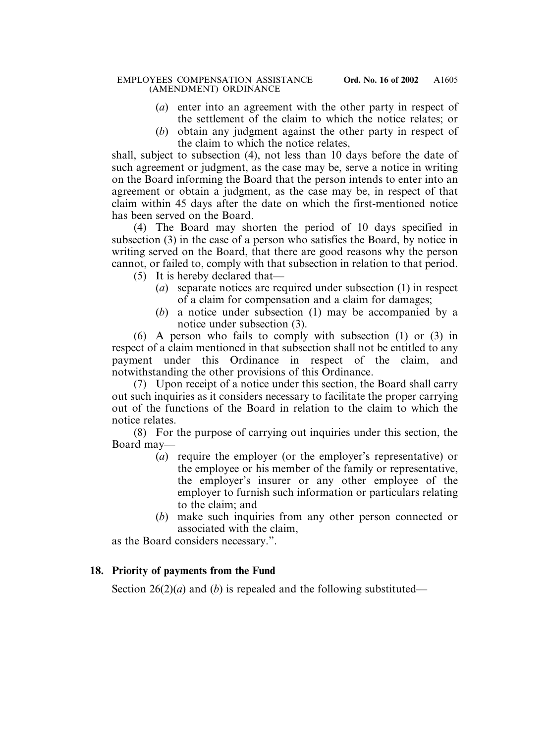- (*a*) enter into an agreement with the other party in respect of the settlement of the claim to which the notice relates; or
- (*b*) obtain any judgment against the other party in respect of the claim to which the notice relates,

shall, subject to subsection (4), not less than 10 days before the date of such agreement or judgment, as the case may be, serve a notice in writing on the Board informing the Board that the person intends to enter into an agreement or obtain a judgment, as the case may be, in respect of that claim within 45 days after the date on which the first-mentioned notice has been served on the Board.

(4) The Board may shorten the period of 10 days specified in subsection (3) in the case of a person who satisfies the Board, by notice in writing served on the Board, that there are good reasons why the person cannot, or failed to, comply with that subsection in relation to that period.

- (5) It is hereby declared that—
	- (*a*) separate notices are required under subsection (1) in respect of a claim for compensation and a claim for damages;
	- (*b*) a notice under subsection (1) may be accompanied by a notice under subsection (3).

(6) A person who fails to comply with subsection (1) or (3) in respect of a claim mentioned in that subsection shall not be entitled to any payment under this Ordinance in respect of the claim, and notwithstanding the other provisions of this Ordinance.

(7) Upon receipt of a notice under this section, the Board shall carry out such inquiries as it considers necessary to facilitate the proper carrying out of the functions of the Board in relation to the claim to which the notice relates.

(8) For the purpose of carrying out inquiries under this section, the Board may—

- (*a*) require the employer (or the employer's representative) or the employee or his member of the family or representative, the employer's insurer or any other employee of the employer to furnish such information or particulars relating to the claim; and
- (*b*) make such inquiries from any other person connected or associated with the claim,

as the Board considers necessary.".

## **18. Priority of payments from the Fund**

Section  $26(2)(a)$  and (*b*) is repealed and the following substituted—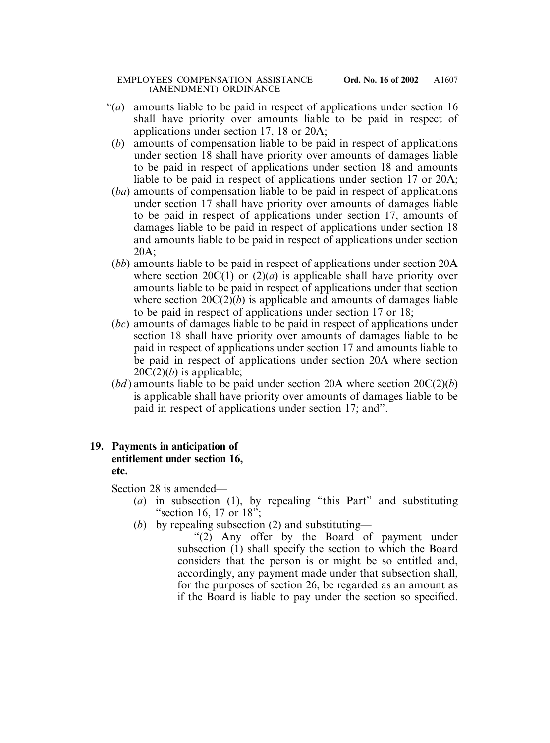- "(*a*) amounts liable to be paid in respect of applications under section 16 shall have priority over amounts liable to be paid in respect of applications under section 17, 18 or 20A;
	- (*b*) amounts of compensation liable to be paid in respect of applications under section 18 shall have priority over amounts of damages liable to be paid in respect of applications under section 18 and amounts liable to be paid in respect of applications under section 17 or 20A;
	- (*ba*) amounts of compensation liable to be paid in respect of applications under section 17 shall have priority over amounts of damages liable to be paid in respect of applications under section 17, amounts of damages liable to be paid in respect of applications under section 18 and amounts liable to be paid in respect of applications under section 20A;
	- (*bb*) amounts liable to be paid in respect of applications under section 20A where section  $20C(1)$  or  $(2)(a)$  is applicable shall have priority over amounts liable to be paid in respect of applications under that section where section  $20C(2)(b)$  is applicable and amounts of damages liable to be paid in respect of applications under section 17 or 18;
	- (*bc*) amounts of damages liable to be paid in respect of applications under section 18 shall have priority over amounts of damages liable to be paid in respect of applications under section 17 and amounts liable to be paid in respect of applications under section 20A where section  $20C(2)(b)$  is applicable;
	- $(bd)$  amounts liable to be paid under section 20A where section  $20C(2)(b)$ is applicable shall have priority over amounts of damages liable to be paid in respect of applications under section 17; and".

## **19. Payments in anticipation of entitlement under section 16, etc.**

Section 28 is amended—

- (*a*) in subsection (1), by repealing "this Part" and substituting "section 16, 17 or 18";
- (*b*) by repealing subsection (2) and substituting—
	- "(2) Any offer by the Board of payment under subsection (1) shall specify the section to which the Board considers that the person is or might be so entitled and, accordingly, any payment made under that subsection shall, for the purposes of section 26, be regarded as an amount as if the Board is liable to pay under the section so specified.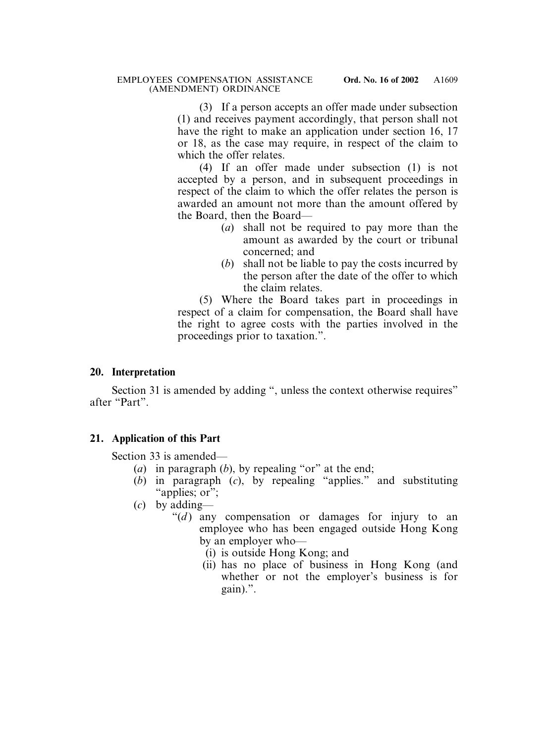(3) If a person accepts an offer made under subsection (1) and receives payment accordingly, that person shall not have the right to make an application under section 16, 17 or 18, as the case may require, in respect of the claim to which the offer relates.

(4) If an offer made under subsection (1) is not accepted by a person, and in subsequent proceedings in respect of the claim to which the offer relates the person is awarded an amount not more than the amount offered by the Board, then the Board—

- (*a*) shall not be required to pay more than the amount as awarded by the court or tribunal concerned; and
- (*b*) shall not be liable to pay the costs incurred by the person after the date of the offer to which the claim relates.

(5) Where the Board takes part in proceedings in respect of a claim for compensation, the Board shall have the right to agree costs with the parties involved in the proceedings prior to taxation.".

## **20. Interpretation**

Section 31 is amended by adding ", unless the context otherwise requires" after "Part".

## **21. Application of this Part**

Section 33 is amended—

- (*a*) in paragraph (*b*), by repealing "or" at the end;
- (*b*) in paragraph (*c*), by repealing "applies." and substituting "applies; or";
- (*c*) by adding—
	- " $(d)$  any compensation or damages for injury to an employee who has been engaged outside Hong Kong by an employer who—
		- (i) is outside Hong Kong; and
		- (ii) has no place of business in Hong Kong (and whether or not the employer's business is for gain).".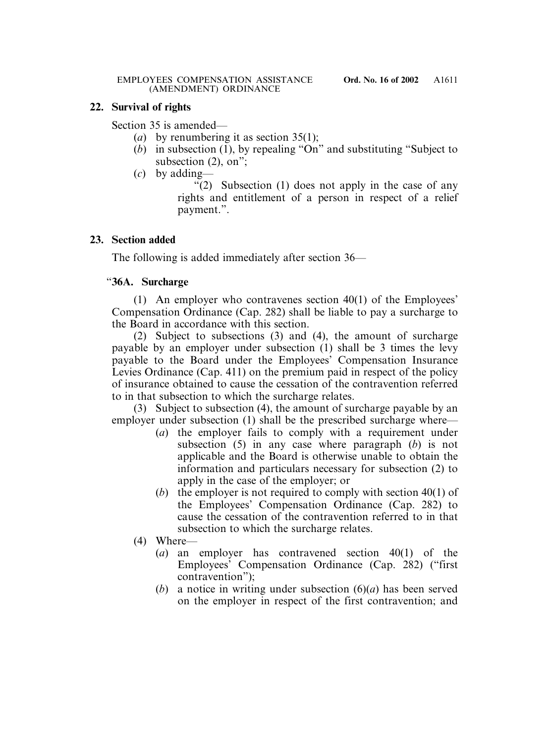## **22. Survival of rights**

Section 35 is amended—

- (*a*) by renumbering it as section 35(1);
- (*b*) in subsection (1), by repealing "On" and substituting "Subject to subsection (2), on";
- (*c*) by adding—

"(2) Subsection (1) does not apply in the case of any rights and entitlement of a person in respect of a relief payment.".

## **23. Section added**

The following is added immediately after section 36—

# "**36A. Surcharge**

(1) An employer who contravenes section 40(1) of the Employees' Compensation Ordinance (Cap. 282) shall be liable to pay a surcharge to the Board in accordance with this section.

(2) Subject to subsections (3) and (4), the amount of surcharge payable by an employer under subsection (1) shall be 3 times the levy payable to the Board under the Employees' Compensation Insurance Levies Ordinance (Cap. 411) on the premium paid in respect of the policy of insurance obtained to cause the cessation of the contravention referred to in that subsection to which the surcharge relates.

(3) Subject to subsection (4), the amount of surcharge payable by an employer under subsection (1) shall be the prescribed surcharge where—

- (*a*) the employer fails to comply with a requirement under subsection (5) in any case where paragraph (*b*) is not applicable and the Board is otherwise unable to obtain the information and particulars necessary for subsection (2) to apply in the case of the employer; or
- (*b*) the employer is not required to comply with section 40(1) of the Employees' Compensation Ordinance (Cap. 282) to cause the cessation of the contravention referred to in that subsection to which the surcharge relates.
- (4) Where—
	- (*a*) an employer has contravened section 40(1) of the Employees' Compensation Ordinance (Cap. 282) ("first contravention");
	- (*b*) a notice in writing under subsection (6)(*a*) has been served on the employer in respect of the first contravention; and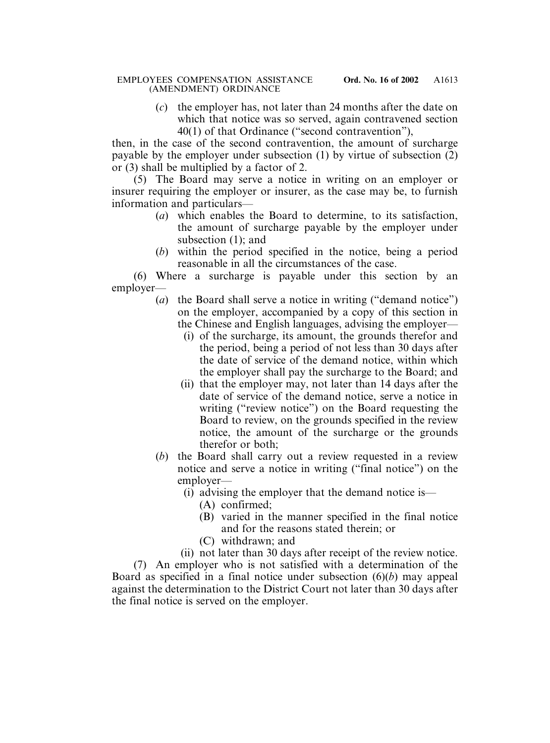(*c*) the employer has, not later than 24 months after the date on which that notice was so served, again contravened section 40(1) of that Ordinance ("second contravention"),

then, in the case of the second contravention, the amount of surcharge payable by the employer under subsection (1) by virtue of subsection (2) or (3) shall be multiplied by a factor of 2.

(5) The Board may serve a notice in writing on an employer or insurer requiring the employer or insurer, as the case may be, to furnish information and particulars—

- (*a*) which enables the Board to determine, to its satisfaction, the amount of surcharge payable by the employer under subsection (1); and
- (*b*) within the period specified in the notice, being a period reasonable in all the circumstances of the case.

(6) Where a surcharge is payable under this section by an employer—

- (*a*) the Board shall serve a notice in writing ("demand notice") on the employer, accompanied by a copy of this section in the Chinese and English languages, advising the employer—
	- (i) of the surcharge, its amount, the grounds therefor and the period, being a period of not less than 30 days after the date of service of the demand notice, within which the employer shall pay the surcharge to the Board; and
	- (ii) that the employer may, not later than 14 days after the date of service of the demand notice, serve a notice in writing ("review notice") on the Board requesting the Board to review, on the grounds specified in the review notice, the amount of the surcharge or the grounds therefor or both;
- (*b*) the Board shall carry out a review requested in a review notice and serve a notice in writing ("final notice") on the employer—
	- (i) advising the employer that the demand notice is—
		- (A) confirmed;
		- (B) varied in the manner specified in the final notice and for the reasons stated therein; or
		- (C) withdrawn; and
	- (ii) not later than 30 days after receipt of the review notice.

(7) An employer who is not satisfied with a determination of the Board as specified in a final notice under subsection (6)(*b*) may appeal against the determination to the District Court not later than 30 days after the final notice is served on the employer.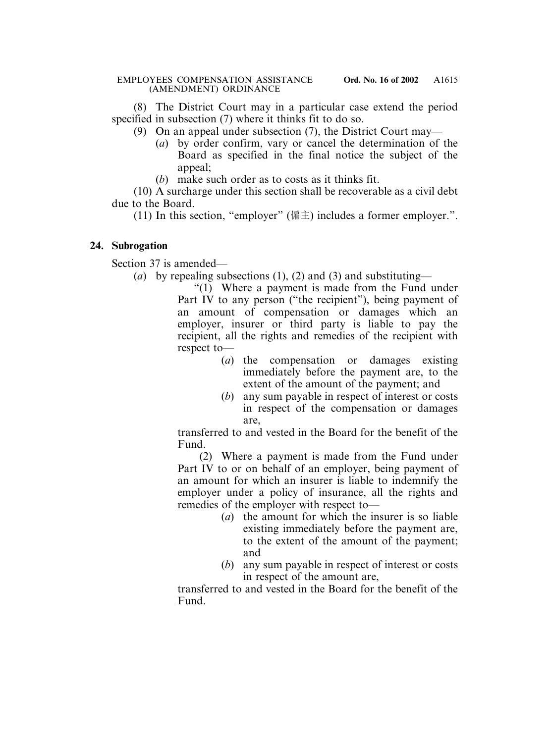(8) The District Court may in a particular case extend the period specified in subsection (7) where it thinks fit to do so.

- (9) On an appeal under subsection (7), the District Court may—
	- (*a*) by order confirm, vary or cancel the determination of the Board as specified in the final notice the subject of the appeal;
	- (*b*) make such order as to costs as it thinks fit.

(10) A surcharge under this section shall be recoverable as a civil debt due to the Board.

(11) In this section, "employer" (僱主) includes a former employer.".

## **24. Subrogation**

Section 37 is amended—

(*a*) by repealing subsections (1), (2) and (3) and substituting—

"(1) Where a payment is made from the Fund under Part IV to any person ("the recipient"), being payment of an amount of compensation or damages which an employer, insurer or third party is liable to pay the recipient, all the rights and remedies of the recipient with respect to—

- (*a*) the compensation or damages existing immediately before the payment are, to the extent of the amount of the payment; and
- (*b*) any sum payable in respect of interest or costs in respect of the compensation or damages are,

transferred to and vested in the Board for the benefit of the Fund.

(2) Where a payment is made from the Fund under Part IV to or on behalf of an employer, being payment of an amount for which an insurer is liable to indemnify the employer under a policy of insurance, all the rights and remedies of the employer with respect to—

- (*a*) the amount for which the insurer is so liable existing immediately before the payment are, to the extent of the amount of the payment; and
- (*b*) any sum payable in respect of interest or costs in respect of the amount are,

transferred to and vested in the Board for the benefit of the Fund.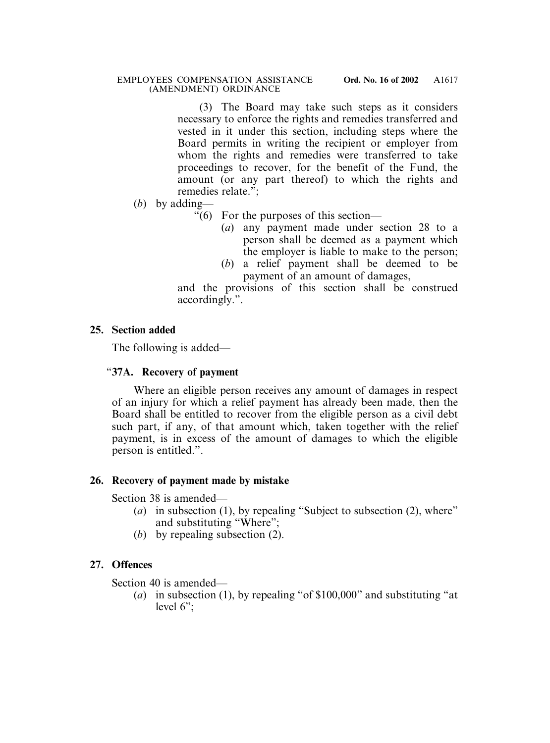(3) The Board may take such steps as it considers necessary to enforce the rights and remedies transferred and vested in it under this section, including steps where the Board permits in writing the recipient or employer from whom the rights and remedies were transferred to take proceedings to recover, for the benefit of the Fund, the amount (or any part thereof) to which the rights and remedies relate.";

- (*b*) by adding—
	- "(6) For the purposes of this section—
		- (*a*) any payment made under section 28 to a person shall be deemed as a payment which the employer is liable to make to the person;
		- (*b*) a relief payment shall be deemed to be payment of an amount of damages,

and the provisions of this section shall be construed accordingly.".

# **25. Section added**

The following is added—

## "**37A. Recovery of payment**

Where an eligible person receives any amount of damages in respect of an injury for which a relief payment has already been made, then the Board shall be entitled to recover from the eligible person as a civil debt such part, if any, of that amount which, taken together with the relief payment, is in excess of the amount of damages to which the eligible person is entitled.".

# **26. Recovery of payment made by mistake**

Section 38 is amended—

- (*a*) in subsection (1), by repealing "Subject to subsection (2), where" and substituting "Where";
- (*b*) by repealing subsection (2).

# **27. Offences**

Section 40 is amended—

(*a*) in subsection (1), by repealing "of \$100,000" and substituting "at level 6";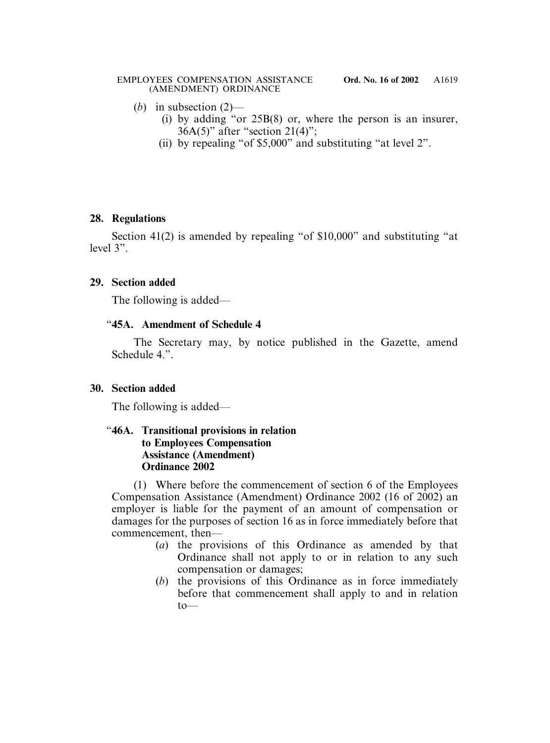- (*b*) in subsection (2)—
	- (i) by adding "or 25B(8) or, where the person is an insurer, 36A(5)" after "section 21(4)";
	- (ii) by repealing "of \$5,000" and substituting "at level 2".

## **28. Regulations**

Section 41(2) is amended by repealing "of \$10,000" and substituting "at level 3".

# **29. Section added**

The following is added—

# "**45A. Amendment of Schedule 4**

The Secretary may, by notice published in the Gazette, amend Schedule 4.".

# **30. Section added**

The following is added—

## "**46A. Transitional provisions in relation to Employees Compensation Assistance (Amendment) Ordinance 2002**

(1) Where before the commencement of section 6 of the Employees Compensation Assistance (Amendment) Ordinance 2002 (16 of 2002) an employer is liable for the payment of an amount of compensation or damages for the purposes of section 16 as in force immediately before that commencement, then—

- (*a*) the provisions of this Ordinance as amended by that Ordinance shall not apply to or in relation to any such compensation or damages;
- (*b*) the provisions of this Ordinance as in force immediately before that commencement shall apply to and in relation  $to$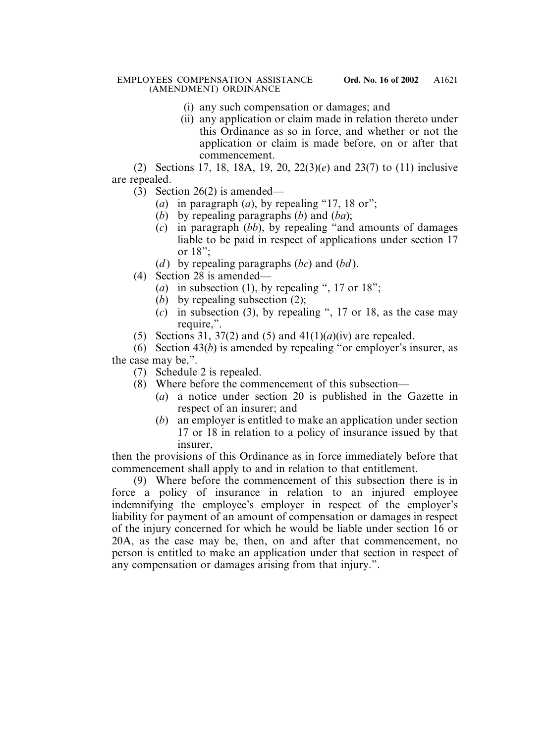- (i) any such compensation or damages; and
- (ii) any application or claim made in relation thereto under this Ordinance as so in force, and whether or not the application or claim is made before, on or after that commencement.

(2) Sections 17, 18, 18A, 19, 20, 22(3)(*e*) and 23(7) to (11) inclusive are repealed.

- (3) Section 26(2) is amended—
	- (*a*) in paragraph (*a*), by repealing "17, 18 or";
	- (*b*) by repealing paragraphs (*b*) and (*ba*);
	- (*c*) in paragraph (*bb*), by repealing "and amounts of damages liable to be paid in respect of applications under section 17 or 18";
	- (*d* ) by repealing paragraphs (*bc*) and (*bd* ).
- (4) Section 28 is amended—
	- (*a*) in subsection (1), by repealing ", 17 or 18";
	- (*b*) by repealing subsection (2);
	- (*c*) in subsection (3), by repealing ", 17 or 18, as the case may require,".
- (5) Sections 31, 37(2) and (5) and  $41(1)(a)(iv)$  are repealed.

(6) Section 43(*b*) is amended by repealing "or employer's insurer, as the case may be,".

- (7) Schedule 2 is repealed.
- (8) Where before the commencement of this subsection—
	- (*a*) a notice under section 20 is published in the Gazette in respect of an insurer; and
	- (*b*) an employer is entitled to make an application under section 17 or 18 in relation to a policy of insurance issued by that insurer,

then the provisions of this Ordinance as in force immediately before that commencement shall apply to and in relation to that entitlement.

(9) Where before the commencement of this subsection there is in force a policy of insurance in relation to an injured employee indemnifying the employee's employer in respect of the employer's liability for payment of an amount of compensation or damages in respect of the injury concerned for which he would be liable under section 16 or 20A, as the case may be, then, on and after that commencement, no person is entitled to make an application under that section in respect of any compensation or damages arising from that injury.".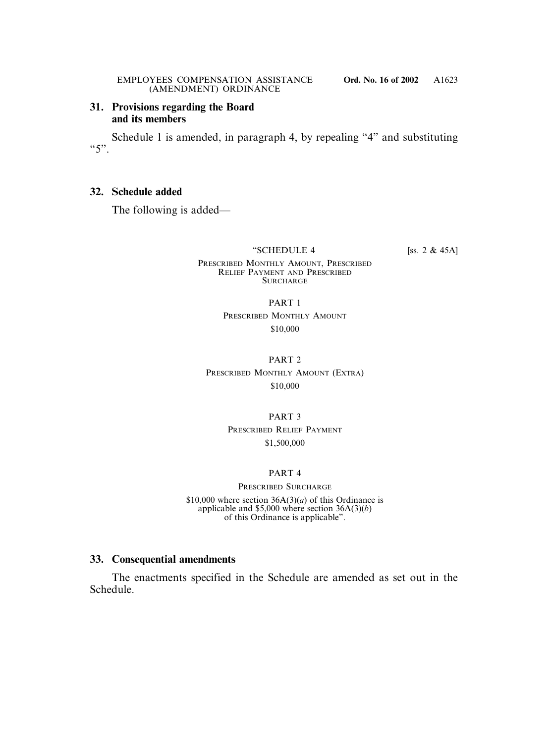### **31. Provisions regarding the Board and its members**

Schedule 1 is amended, in paragraph 4, by repealing "4" and substituting  $55"$ 

### **32. Schedule added**

The following is added—

"SCHEDULE 4 [ss. 2 & 45A]

PRESCRIBED MONTHLY AMOUNT, PRESCRIBED RELIEF PAYMENT AND PRESCRIBED **SURCHARGE** 

PART 1

PRESCRIBED MONTHLY AMOUNT \$10,000

PART 2

PRESCRIBED MONTHLY AMOUNT (EXTRA) \$10,000

PART 3

PRESCRIBED RELIEF PAYMENT \$1,500,000

#### PART 4

PRESCRIBED SURCHARGE \$10,000 where section  $36A(3)(a)$  of this Ordinance is applicable and \$5,000 where section 36A(3)(*b*) of this Ordinance is applicable".

## **33. Consequential amendments**

The enactments specified in the Schedule are amended as set out in the Schedule.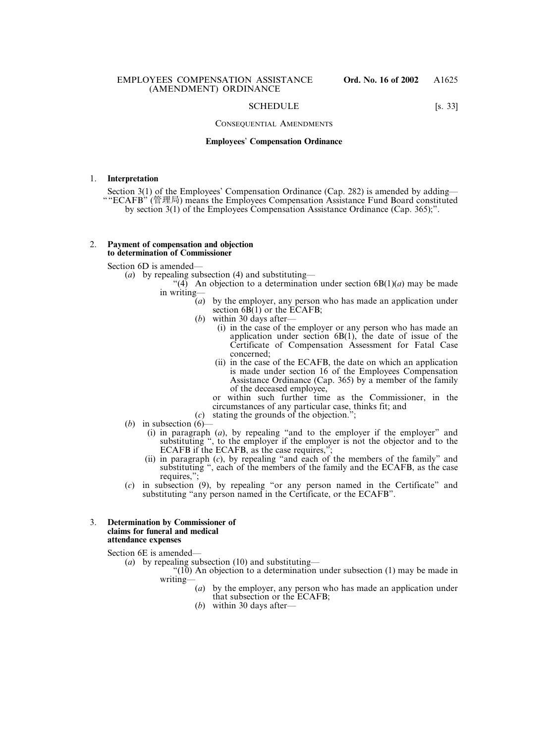#### SCHEDULE [s. 33]

#### CONSEQUENTIAL AMENDMENTS

#### **Employees**' **Compensation Ordinance**

#### 1. **Interpretation**

Section 3(1) of the Employees' Compensation Ordinance (Cap. 282) is amended by adding— ""ECAFB" (管理局) means the Employees Compensation Assistance Fund Board constituted by section 3(1) of the Employees Compensation Assistance Ordinance (Cap. 365);".

#### 2. **Payment of compensation and objection to determination of Commissioner**

Section 6D is amended—

(*a*) by repealing subsection (4) and substituting—

- "(4) An objection to a determination under section  $6B(1)(a)$  may be made in writing—
	- $(a)$  by the employer, any person who has made an application under section  $6B(1)$  or the ECAFB;
	- (*b*) within 30 days after—
		- (i) in the case of the employer or any person who has made an application under section  $6B(1)$ , the date of issue of the Certificate of Compensation Assessment for Fatal Case concerned;
		- (ii) in the case of the ECAFB, the date on which an application is made under section 16 of the Employees Compensation Assistance Ordinance (Cap. 365) by a member of the family of the deceased employee,

or within such further time as the Commissioner, in the circumstances of any particular case, thinks fit; and

- (*c*) stating the grounds of the objection.";
- (*b*) in subsection  $(6)$ -
	- (i) in paragraph (*a*), by repealing "and to the employer if the employer" and substituting ", to the employer if the employer is not the objector and to the ECAFB if the ECAFB, as the case requires,";
	- (ii) in paragraph (*c*), by repealing "and each of the members of the family" and substituting ", each of the members of the family and the ECAFB, as the case requires,";
- (*c*) in subsection (9), by repealing "or any person named in the Certificate" and substituting "any person named in the Certificate, or the ECAFB".

#### 3. **Determination by Commissioner of claims for funeral and medical attendance expenses**

Section 6E is amended—

- (*a*) by repealing subsection (10) and substituting—
	- $\degree$ (10) An objection to a determination under subsection (1) may be made in writing—
		- (*a*) by the employer, any person who has made an application under that subsection or the ECAFB;
		- (*b*) within 30 days after—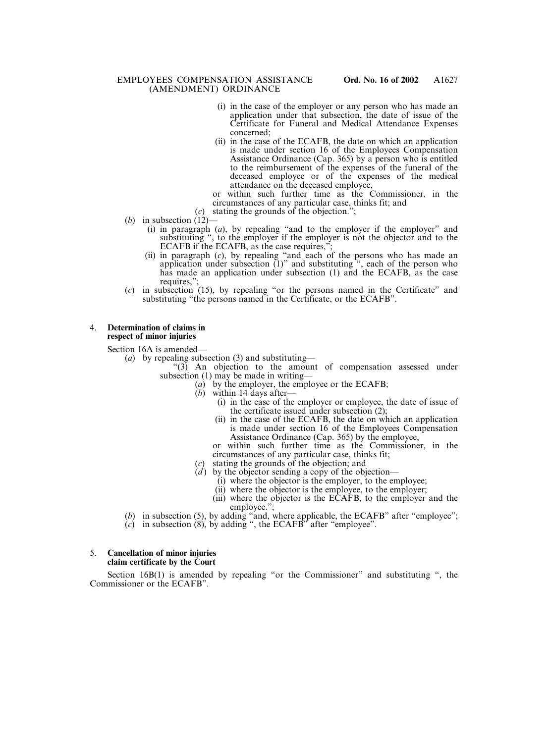- (i) in the case of the employer or any person who has made an application under that subsection, the date of issue of the Certificate for Funeral and Medical Attendance Expenses concerned;
- (ii) in the case of the ECAFB, the date on which an application is made under section 16 of the Employees Compensation Assistance Ordinance (Cap. 365) by a person who is entitled to the reimbursement of the expenses of the funeral of the deceased employee or of the expenses of the medical attendance on the deceased employee,

or within such further time as the Commissioner, in the circumstances of any particular case, thinks fit; and

- (*c*) stating the grounds of the objection.";
- (*b*) in subsection  $(12)$ 
	- (i) in paragraph (*a*), by repealing "and to the employer if the employer" and substituting ", to the employer if the employer is not the objector and to the ECAFB if the ECAFB, as the case requires,";
	- (ii) in paragraph (*c*), by repealing "and each of the persons who has made an application under subsection (1)" and substituting ", each of the person who has made an application under subsection (1) and the ECAFB, as the case requires."
- (*c*) in subsection (15), by repealing "or the persons named in the Certificate" and substituting "the persons named in the Certificate, or the ECAFB".

#### 4. **Determination of claims in respect of minor injuries**

Section 16A is amended—

- (*a*) by repealing subsection (3) and substituting—
	- "(3) An objection to the amount of compensation assessed under subsection (1) may be made in writing—
		- (*a*) by the employer, the employee or the ECAFB;
			- (*b*) within 14 days after—
				- (i) in the case of the employer or employee, the date of issue of the certificate issued under subsection (2);
				- (ii) in the case of the ECAFB, the date on which an application is made under section 16 of the Employees Compensation Assistance Ordinance (Cap. 365) by the employee,

or within such further time as the Commissioner, in the circumstances of any particular case, thinks fit;

- (*c*) stating the grounds of the objection; and
- (*d*) by the objector sending a copy of the objection—
	- (i) where the objector is the employer, to the employee;
	- (ii) where the objector is the employee, to the employer;
	- (iii) where the objector is the ECAFB, to the employer and the employee.";
- (*b*) in subsection (5), by adding "and, where applicable, the ECAFB" after "employee";
- (*c*) in subsection (8), by adding ", the ECAFB" after "employee".

#### 5. **Cancellation of minor injuries claim certificate by the Court**

Section 16B(1) is amended by repealing "or the Commissioner" and substituting ", the Commissioner or the ECAFB".